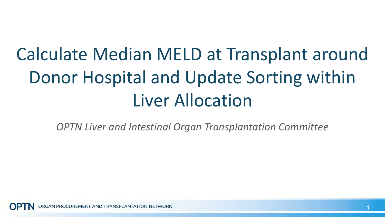# Calculate Median MELD at Transplant around Donor Hospital and Update Sorting within Liver Allocation

*OPTN Liver and Intestinal Organ Transplantation Committee*

AN PROCUREMENT AND TRANSPLANTATION NETWORK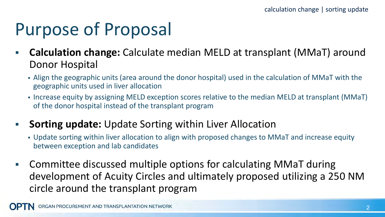# Purpose of Proposal

- **Calculation change:** Calculate median MELD at transplant (MMaT) around Donor Hospital
	- Align the geographic units (area around the donor hospital) used in the calculation of MMaT with the geographic units used in liver allocation
	- Increase equity by assigning MELD exception scores relative to the median MELD at transplant (MMaT) of the donor hospital instead of the transplant program

#### **Sorting update:** Update Sorting within Liver Allocation

- Update sorting within liver allocation to align with proposed changes to MMaT and increase equity between exception and lab candidates
- Committee discussed multiple options for calculating MMaT during development of Acuity Circles and ultimately proposed utilizing a 250 NM circle around the transplant program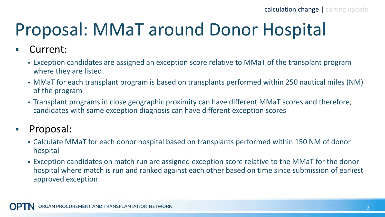# Proposal: MMaT around Donor Hospital

- Current:
	- Exception candidates are assigned an exception score relative to MMaT of the transplant program where they are listed
	- MMaT for each transplant program is based on transplants performed within 250 nautical miles (NM) of the program
	- Transplant programs in close geographic proximity can have different MMaT scores and therefore, candidates with same exception diagnosis can have different exception scores
- **Proposal:** 
	- Calculate MMaT for each donor hospital based on transplants performed within 150 NM of donor hospital
	- Exception candidates on match run are assigned exception score relative to the MMaT for the donor hospital where match is run and ranked against each other based on time since submission of earliest approved exception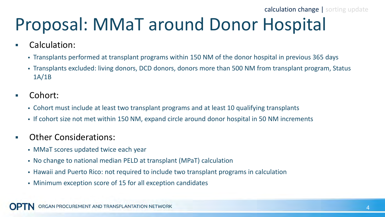calculation change | sorting update

# Proposal: MMaT around Donor Hospital

- Calculation:
	- Transplants performed at transplant programs within 150 NM of the donor hospital in previous 365 days
	- Transplants excluded: living donors, DCD donors, donors more than 500 NM from transplant program, Status 1A/1B
- Cohort:
	- Cohort must include at least two transplant programs and at least 10 qualifying transplants
	- If cohort size not met within 150 NM, expand circle around donor hospital in 50 NM increments
- Other Considerations:
	- MMaT scores updated twice each year
	- No change to national median PELD at transplant (MPaT) calculation
	- Hawaii and Puerto Rico: not required to include two transplant programs in calculation
	- Minimum exception score of 15 for all exception candidates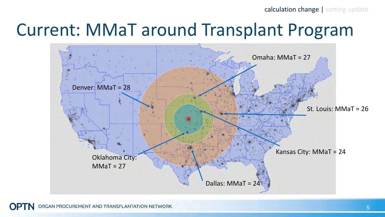calculation change | sorting update

### Current: MMaT around Transplant Program

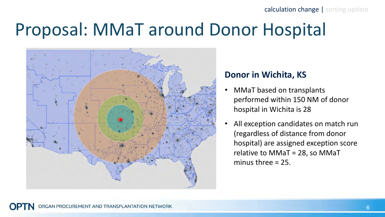## Proposal: MMaT around Donor Hospital



#### **Donor in Wichita, KS**

- MMaT based on transplants performed within 150 NM of donor hospital in Wichita is 28
- All exception candidates on match run (regardless of distance from donor hospital) are assigned exception score relative to MMaT = 28, so MMaT minus three = 25.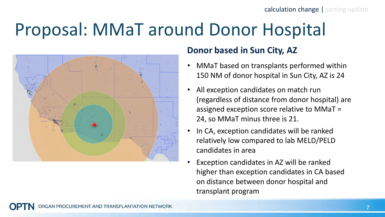# Proposal: MMaT around Donor Hospital



#### **Donor based in Sun City, AZ**

- MMaT based on transplants performed within 150 NM of donor hospital in Sun City, AZ is 24
- All exception candidates on match run (regardless of distance from donor hospital) are assigned exception score relative to MMaT = 24, so MMaT minus three is 21.
- In CA, exception candidates will be ranked relatively low compared to lab MELD/PELD candidates in area
- Exception candidates in AZ will be ranked higher than exception candidates in CA based on distance between donor hospital and transplant program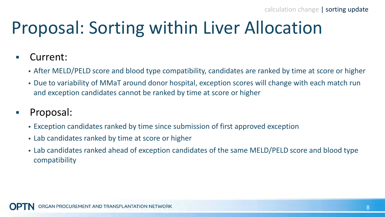# Proposal: Sorting within Liver Allocation

- Current:
	- After MELD/PELD score and blood type compatibility, candidates are ranked by time at score or higher
	- Due to variability of MMaT around donor hospital, exception scores will change with each match run and exception candidates cannot be ranked by time at score or higher
- **Proposal:** 
	- Exception candidates ranked by time since submission of first approved exception
	- Lab candidates ranked by time at score or higher
	- Lab candidates ranked ahead of exception candidates of the same MELD/PELD score and blood type compatibility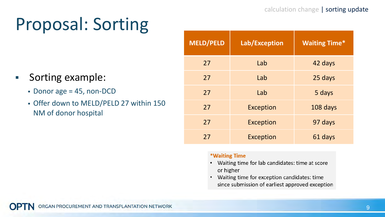# Proposal: Sorting

- **Sorting example:** 
	- Donor age = 45, non-DCD
	- Offer down to MELD/PELD 27 within 150 NM of donor hospital

| <b>MELD/PELD</b> | Lab/Exception    | <b>Waiting Time*</b> |
|------------------|------------------|----------------------|
| 27               | Lab              | 42 days              |
| 27               | Lab              | 25 days              |
| 27               | Lab              | 5 days               |
| 27               | <b>Exception</b> | 108 days             |
| 27               | <b>Exception</b> | 97 days              |
| 27               | <b>Exception</b> | 61 days              |

#### \*Waiting Time

- Waiting time for lab candidates: time at score or higher
- Waiting time for exception candidates: time since submission of earliest approved exception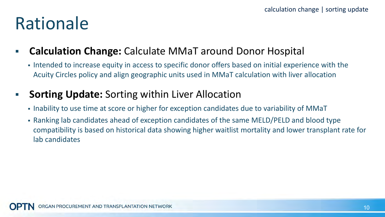### Rationale

### **Calculation Change:** Calculate MMaT around Donor Hospital

Intended to increase equity in access to specific donor offers based on initial experience with the Acuity Circles policy and align geographic units used in MMaT calculation with liver allocation

### **Sorting Update:** Sorting within Liver Allocation

- Inability to use time at score or higher for exception candidates due to variability of MMaT
- Ranking lab candidates ahead of exception candidates of the same MELD/PELD and blood type compatibility is based on historical data showing higher waitlist mortality and lower transplant rate for lab candidates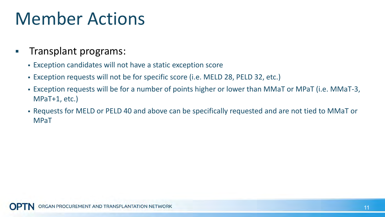### Member Actions

#### **Transplant programs:**

- Exception candidates will not have a static exception score
- Exception requests will not be for specific score (i.e. MELD 28, PELD 32, etc.)
- Exception requests will be for a number of points higher or lower than MMaT or MPaT (i.e. MMaT-3, MPaT+1, etc.)
- Requests for MELD or PELD 40 and above can be specifically requested and are not tied to MMaT or MPaT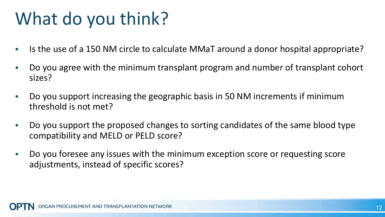# What do you think?

- Is the use of a 150 NM circle to calculate MMaT around a donor hospital appropriate?
- Do you agree with the minimum transplant program and number of transplant cohort sizes?
- Do you support increasing the geographic basis in 50 NM increments if minimum threshold is not met?
- Do you support the proposed changes to sorting candidates of the same blood type compatibility and MELD or PELD score?
- Do you foresee any issues with the minimum exception score or requesting score adjustments, instead of specific scores?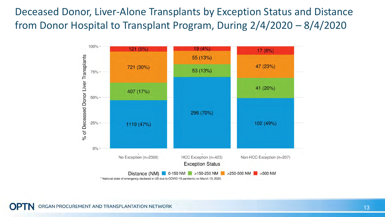Deceased Donor, Liver-Alone Transplants by Exception Status and Distance from Donor Hospital to Transplant Program, During 2/4/2020 – 8/4/2020